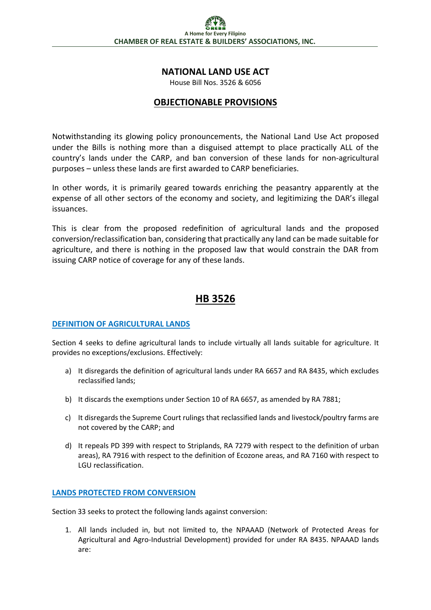## **NATIONAL LAND USE ACT**

House Bill Nos. 3526 & 6056

### **OBJECTIONABLE PROVISIONS**

Notwithstanding its glowing policy pronouncements, the National Land Use Act proposed under the Bills is nothing more than a disguised attempt to place practically ALL of the country's lands under the CARP, and ban conversion of these lands for non-agricultural purposes – unless these lands are first awarded to CARP beneficiaries.

In other words, it is primarily geared towards enriching the peasantry apparently at the expense of all other sectors of the economy and society, and legitimizing the DAR's illegal issuances.

This is clear from the proposed redefinition of agricultural lands and the proposed conversion/reclassification ban, considering that practically any land can be made suitable for agriculture, and there is nothing in the proposed law that would constrain the DAR from issuing CARP notice of coverage for any of these lands.

# **HB 3526**

#### **DEFINITION OF AGRICULTURAL LANDS**

Section 4 seeks to define agricultural lands to include virtually all lands suitable for agriculture. It provides no exceptions/exclusions. Effectively:

- a) It disregards the definition of agricultural lands under RA 6657 and RA 8435, which excludes reclassified lands;
- b) It discards the exemptions under Section 10 of RA 6657, as amended by RA 7881;
- c) It disregards the Supreme Court rulings that reclassified lands and livestock/poultry farms are not covered by the CARP; and
- d) It repeals PD 399 with respect to Striplands, RA 7279 with respect to the definition of urban areas), RA 7916 with respect to the definition of Ecozone areas, and RA 7160 with respect to LGU reclassification.

#### **LANDS PROTECTED FROM CONVERSION**

Section 33 seeks to protect the following lands against conversion:

1. All lands included in, but not limited to, the NPAAAD (Network of Protected Areas for Agricultural and Agro-Industrial Development) provided for under RA 8435. NPAAAD lands are: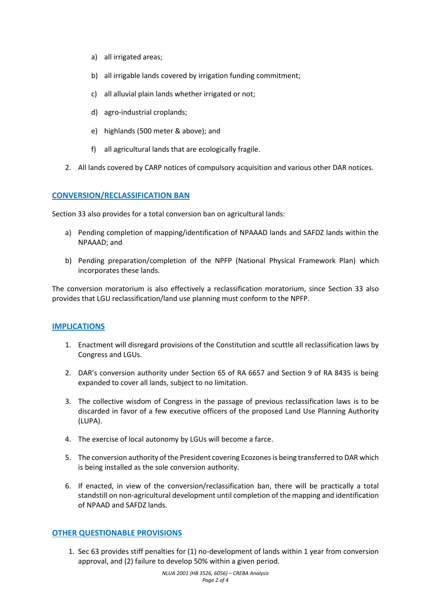- a) all irrigated areas;
- b) all irrigable lands covered by irrigation funding commitment;
- c) all alluvial plain lands whether irrigated or not;
- d) agro-industrial croplands;
- e) highlands (500 meter & above); and
- f) all agricultural lands that are ecologically fragile.
- 2. All lands covered by CARP notices of compulsory acquisition and various other DAR notices.

### **CONVERSION/RECLASSIFICATION BAN**

Section 33 also provides for a total conversion ban on agricultural lands:

- a) Pending completion of mapping/identification of NPAAAD lands and SAFDZ lands within the NPAAAD; and
- b) Pending preparation/completion of the NPFP (National Physical Framework Plan) which incorporates these lands.

The conversion moratorium is also effectively a reclassification moratorium, since Section 33 also provides that LGU reclassification/land use planning must conform to the NPFP.

#### **IMPLICATIONS**

- 1. Enactment will disregard provisions of the Constitution and scuttle all reclassification laws by Congress and LGUs.
- 2. DAR's conversion authority under Section 65 of RA 6657 and Section 9 of RA 8435 is being expanded to cover all lands, subject to no limitation.
- 3. The collective wisdom of Congress in the passage of previous reclassification laws is to be discarded in favor of a few executive officers of the proposed Land Use Planning Authority (LUPA).
- 4. The exercise of local autonomy by LGUs will become a farce.
- 5. The conversion authority of the President covering Ecozones is being transferred to DAR which is being installed as the sole conversion authority.
- 6. If enacted, in view of the conversion/reclassification ban, there will be practically a total standstill on non-agricultural development until completion of the mapping and identification of NPAAD and SAFDZ lands.

#### **OTHER QUESTIONABLE PROVISIONS**

1. Sec 63 provides stiff penalties for (1) no-development of lands within 1 year from conversion approval, and (2) failure to develop 50% within a given period.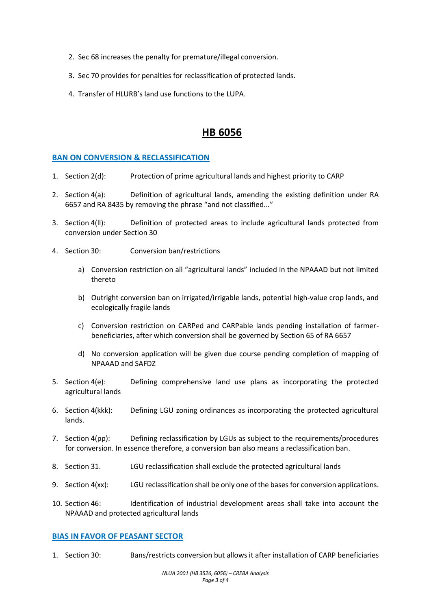- 2. Sec 68 increases the penalty for premature/illegal conversion.
- 3. Sec 70 provides for penalties for reclassification of protected lands.
- 4. Transfer of HLURB's land use functions to the LUPA.

# **HB 6056**

#### **BAN ON CONVERSION & RECLASSIFICATION**

- 1. Section 2(d): Protection of prime agricultural lands and highest priority to CARP
- 2. Section 4(a): Definition of agricultural lands, amending the existing definition under RA 6657 and RA 8435 by removing the phrase "and not classified..."
- 3. Section 4(ll): Definition of protected areas to include agricultural lands protected from conversion under Section 30
- 4. Section 30: Conversion ban/restrictions
	- a) Conversion restriction on all "agricultural lands" included in the NPAAAD but not limited thereto
	- b) Outright conversion ban on irrigated/irrigable lands, potential high-value crop lands, and ecologically fragile lands
	- c) Conversion restriction on CARPed and CARPable lands pending installation of farmerbeneficiaries, after which conversion shall be governed by Section 65 of RA 6657
	- d) No conversion application will be given due course pending completion of mapping of NPAAAD and SAFDZ
- 5. Section 4(e): Defining comprehensive land use plans as incorporating the protected agricultural lands
- 6. Section 4(kkk): Defining LGU zoning ordinances as incorporating the protected agricultural lands.
- 7. Section 4(pp): Defining reclassification by LGUs as subject to the requirements/procedures for conversion. In essence therefore, a conversion ban also means a reclassification ban.
- 8. Section 31. LGU reclassification shall exclude the protected agricultural lands
- 9. Section 4(xx): LGU reclassification shall be only one of the bases for conversion applications.
- 10. Section 46: Identification of industrial development areas shall take into account the NPAAAD and protected agricultural lands

#### **BIAS IN FAVOR OF PEASANT SECTOR**

1. Section 30: Bans/restricts conversion but allows it after installation of CARP beneficiaries